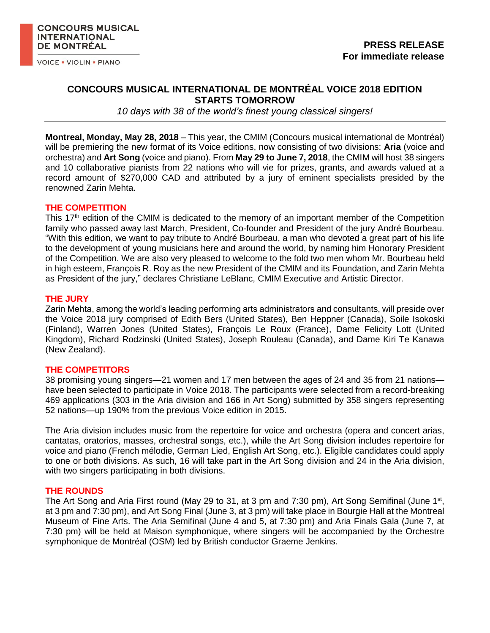**VOICE . VIOLIN . PIANO** 

# **CONCOURS MUSICAL INTERNATIONAL DE MONTRÉAL VOICE 2018 EDITION STARTS TOMORROW**

*10 days with 38 of the world's finest young classical singers!*

**Montreal, Monday, May 28, 2018** – This year, the CMIM (Concours musical international de Montréal) will be premiering the new format of its Voice editions, now consisting of two divisions: **Aria** (voice and orchestra) and **Art Song** (voice and piano). From **May 29 to June 7, 2018**, the CMIM will host 38 singers and 10 collaborative pianists from 22 nations who will vie for prizes, grants, and awards valued at a record amount of \$270,000 CAD and attributed by a jury of eminent specialists presided by the renowned Zarin Mehta.

#### **THE COMPETITION**

This  $17<sup>th</sup>$  edition of the CMIM is dedicated to the memory of an important member of the Competition family who passed away last March, President, Co-founder and President of the jury André Bourbeau. "With this edition, we want to pay tribute to André Bourbeau, a man who devoted a great part of his life to the development of young musicians here and around the world, by naming him Honorary President of the Competition. We are also very pleased to welcome to the fold two men whom Mr. Bourbeau held in high esteem, François R. Roy as the new President of the CMIM and its Foundation, and Zarin Mehta as President of the jury," declares Christiane LeBlanc, CMIM Executive and Artistic Director.

# **THE JURY**

Zarin Mehta, among the world's leading performing arts administrators and consultants, will preside over the Voice 2018 jury comprised of Edith Bers (United States), Ben Heppner (Canada), Soile Isokoski (Finland), Warren Jones (United States), François Le Roux (France), Dame Felicity Lott (United Kingdom), Richard Rodzinski (United States), Joseph Rouleau (Canada), and Dame Kiri Te Kanawa (New Zealand).

# **THE COMPETITORS**

38 promising young singers—21 women and 17 men between the ages of 24 and 35 from 21 nations have been selected to participate in Voice 2018. The participants were selected from a record-breaking 469 applications (303 in the Aria division and 166 in Art Song) submitted by 358 singers representing 52 nations—up 190% from the previous Voice edition in 2015.

The Aria division includes music from the repertoire for voice and orchestra (opera and concert arias, cantatas, oratorios, masses, orchestral songs, etc.), while the Art Song division includes repertoire for voice and piano (French mélodie, German Lied, English Art Song, etc.). Eligible candidates could apply to one or both divisions. As such, 16 will take part in the Art Song division and 24 in the Aria division, with two singers participating in both divisions.

# **THE ROUNDS**

The Art Song and Aria First round (May 29 to 31, at 3 pm and 7:30 pm), Art Song Semifinal (June 1<sup>st</sup>, at 3 pm and 7:30 pm), and Art Song Final (June 3, at 3 pm) will take place in Bourgie Hall at the Montreal Museum of Fine Arts. The Aria Semifinal (June 4 and 5, at 7:30 pm) and Aria Finals Gala (June 7, at 7:30 pm) will be held at Maison symphonique, where singers will be accompanied by the Orchestre symphonique de Montréal (OSM) led by British conductor Graeme Jenkins.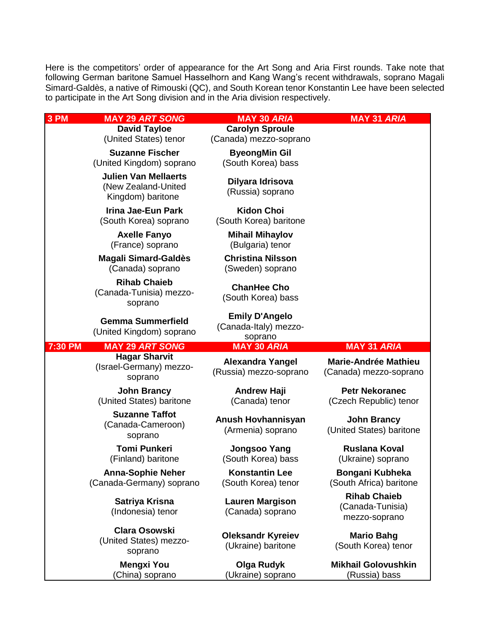Here is the competitors' order of appearance for the Art Song and Aria First rounds. Take note that following German baritone Samuel Hasselhorn and Kang Wang's recent withdrawals, soprano Magali Simard-Galdès, a native of Rimouski (QC), and South Korean tenor Konstantin Lee have been selected to participate in the Art Song division and in the Aria division respectively.

| 3 PM    | <b>MAY 29 ART SONG</b>                                                  | <b>MAY 30 ARIA</b>                                        | <b>MAY 31 ARIA</b>                                       |
|---------|-------------------------------------------------------------------------|-----------------------------------------------------------|----------------------------------------------------------|
|         | <b>David Tayloe</b>                                                     | <b>Carolyn Sproule</b>                                    |                                                          |
|         | (United States) tenor                                                   | (Canada) mezzo-soprano                                    |                                                          |
|         | <b>Suzanne Fischer</b><br>(United Kingdom) soprano                      | <b>ByeongMin Gil</b><br>(South Korea) bass                |                                                          |
|         | <b>Julien Van Mellaerts</b><br>(New Zealand-United<br>Kingdom) baritone | Dilyara Idrisova<br>(Russia) soprano                      |                                                          |
|         | <b>Irina Jae-Eun Park</b><br>(South Korea) soprano                      | <b>Kidon Choi</b><br>(South Korea) baritone               |                                                          |
|         | <b>Axelle Fanyo</b><br>(France) soprano                                 | <b>Mihail Mihaylov</b><br>(Bulgaria) tenor                |                                                          |
|         | <b>Magali Simard-Galdès</b><br>(Canada) soprano                         | <b>Christina Nilsson</b><br>(Sweden) soprano              |                                                          |
|         | <b>Rihab Chaieb</b><br>(Canada-Tunisia) mezzo-<br>soprano               | <b>ChanHee Cho</b><br>(South Korea) bass                  |                                                          |
|         | <b>Gemma Summerfield</b><br>(United Kingdom) soprano                    | <b>Emily D'Angelo</b><br>(Canada-Italy) mezzo-<br>soprano |                                                          |
|         |                                                                         |                                                           |                                                          |
| 7:30 PM | <b>MAY 29 ART SONG</b>                                                  | <b>MAY 30 ARIA</b>                                        | <b>MAY 31 ARIA</b>                                       |
|         | <b>Hagar Sharvit</b><br>(Israel-Germany) mezzo-<br>soprano              | <b>Alexandra Yangel</b><br>(Russia) mezzo-soprano         | <b>Marie-Andrée Mathieu</b><br>(Canada) mezzo-soprano    |
|         | <b>John Brancy</b><br>(United States) baritone                          | <b>Andrew Haji</b><br>(Canada) tenor                      | <b>Petr Nekoranec</b><br>(Czech Republic) tenor          |
|         | <b>Suzanne Taffot</b><br>(Canada-Cameroon)<br>soprano                   | Anush Hovhannisyan<br>(Armenia) soprano                   | <b>John Brancy</b><br>(United States) baritone           |
|         | <b>Tomi Punkeri</b><br>(Finland) baritone                               | <b>Jongsoo Yang</b><br>(South Korea) bass                 | <b>Ruslana Koval</b><br>(Ukraine) soprano                |
|         | <b>Anna-Sophie Neher</b><br>(Canada-Germany) soprano                    | <b>Konstantin Lee</b><br>(South Korea) tenor              | Bongani Kubheka<br>(South Africa) baritone               |
|         | Satriya Krisna<br>(Indonesia) tenor                                     | <b>Lauren Margison</b><br>(Canada) soprano                | <b>Rihab Chaieb</b><br>(Canada-Tunisia)<br>mezzo-soprano |
|         | <b>Clara Osowski</b><br>(United States) mezzo-<br>soprano               | <b>Oleksandr Kyreiev</b><br>(Ukraine) baritone            | <b>Mario Bahg</b><br>(South Korea) tenor                 |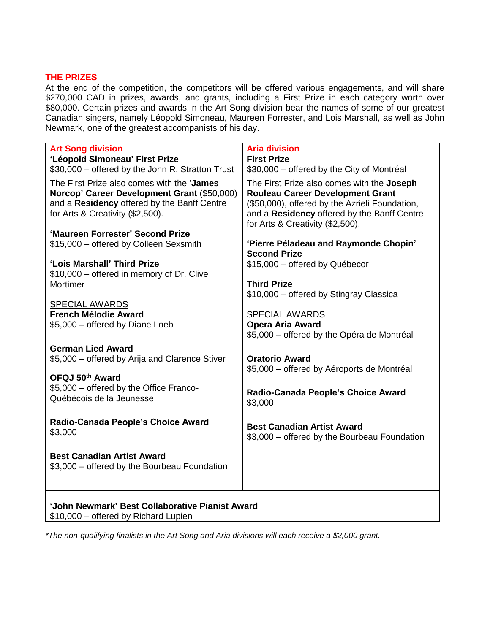# **THE PRIZES**

At the end of the competition, the competitors will be offered various engagements, and will share \$270,000 CAD in prizes, awards, and grants, including a First Prize in each category worth over \$80,000. Certain prizes and awards in the Art Song division bear the names of some of our greatest Canadian singers, namely Léopold Simoneau, Maureen Forrester, and Lois Marshall, as well as John Newmark, one of the greatest accompanists of his day.

| <b>Art Song division</b>                                                                                                                                                      | <b>Aria division</b>                                                                                                                                                                                                              |  |  |
|-------------------------------------------------------------------------------------------------------------------------------------------------------------------------------|-----------------------------------------------------------------------------------------------------------------------------------------------------------------------------------------------------------------------------------|--|--|
| 'Léopold Simoneau' First Prize                                                                                                                                                | <b>First Prize</b>                                                                                                                                                                                                                |  |  |
| \$30,000 - offered by the John R. Stratton Trust                                                                                                                              | \$30,000 – offered by the City of Montréal                                                                                                                                                                                        |  |  |
| The First Prize also comes with the 'James'<br>Norcop' Career Development Grant (\$50,000)<br>and a Residency offered by the Banff Centre<br>for Arts & Creativity (\$2,500). | The First Prize also comes with the <b>Joseph</b><br><b>Rouleau Career Development Grant</b><br>(\$50,000), offered by the Azrieli Foundation,<br>and a Residency offered by the Banff Centre<br>for Arts & Creativity (\$2,500). |  |  |
| 'Maureen Forrester' Second Prize                                                                                                                                              |                                                                                                                                                                                                                                   |  |  |
| \$15,000 - offered by Colleen Sexsmith                                                                                                                                        | 'Pierre Péladeau and Raymonde Chopin'<br><b>Second Prize</b>                                                                                                                                                                      |  |  |
| 'Lois Marshall' Third Prize                                                                                                                                                   | \$15,000 - offered by Québecor                                                                                                                                                                                                    |  |  |
| \$10,000 – offered in memory of Dr. Clive                                                                                                                                     |                                                                                                                                                                                                                                   |  |  |
| Mortimer                                                                                                                                                                      | <b>Third Prize</b>                                                                                                                                                                                                                |  |  |
|                                                                                                                                                                               | \$10,000 - offered by Stingray Classica                                                                                                                                                                                           |  |  |
| <b>SPECIAL AWARDS</b>                                                                                                                                                         |                                                                                                                                                                                                                                   |  |  |
| <b>French Mélodie Award</b>                                                                                                                                                   | <b>SPECIAL AWARDS</b>                                                                                                                                                                                                             |  |  |
| \$5,000 - offered by Diane Loeb                                                                                                                                               | <b>Opera Aria Award</b><br>\$5,000 – offered by the Opéra de Montréal                                                                                                                                                             |  |  |
| <b>German Lied Award</b>                                                                                                                                                      |                                                                                                                                                                                                                                   |  |  |
| \$5,000 – offered by Arija and Clarence Stiver                                                                                                                                | <b>Oratorio Award</b>                                                                                                                                                                                                             |  |  |
|                                                                                                                                                                               | \$5,000 – offered by Aéroports de Montréal                                                                                                                                                                                        |  |  |
| OFQJ 50th Award                                                                                                                                                               |                                                                                                                                                                                                                                   |  |  |
| \$5,000 - offered by the Office Franco-                                                                                                                                       | Radio-Canada People's Choice Award                                                                                                                                                                                                |  |  |
| Québécois de la Jeunesse                                                                                                                                                      | \$3,000                                                                                                                                                                                                                           |  |  |
| Radio-Canada People's Choice Award<br>\$3,000                                                                                                                                 | <b>Best Canadian Artist Award</b>                                                                                                                                                                                                 |  |  |
|                                                                                                                                                                               | \$3,000 - offered by the Bourbeau Foundation                                                                                                                                                                                      |  |  |
| <b>Best Canadian Artist Award</b><br>\$3,000 - offered by the Bourbeau Foundation                                                                                             |                                                                                                                                                                                                                                   |  |  |
|                                                                                                                                                                               |                                                                                                                                                                                                                                   |  |  |
| 'John Newmark' Best Collaborative Pianist Award                                                                                                                               |                                                                                                                                                                                                                                   |  |  |

\$10,000 – offered by Richard Lupien

*\*The non-qualifying finalists in the Art Song and Aria divisions will each receive a \$2,000 grant.*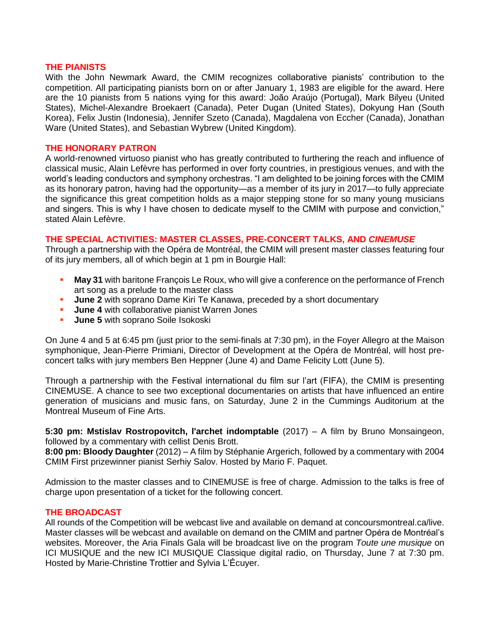#### **THE PIANISTS**

With the John Newmark Award, the CMIM recognizes collaborative pianists' contribution to the competition. All participating pianists born on or after January 1, 1983 are eligible for the award. Here are the 10 pianists from 5 nations vying for this award: João Araújo (Portugal), Mark Bilyeu (United States), Michel-Alexandre Broekaert (Canada), Peter Dugan (United States), Dokyung Han (South Korea), Felix Justin (Indonesia), Jennifer Szeto (Canada), Magdalena von Eccher (Canada), Jonathan Ware (United States), and Sebastian Wybrew (United Kingdom).

#### **THE HONORARY PATRON**

A world-renowned virtuoso pianist who has greatly contributed to furthering the reach and influence of classical music, Alain Lefèvre has performed in over forty countries, in prestigious venues, and with the world's leading conductors and symphony orchestras. "I am delighted to be joining forces with the CMIM as its honorary patron, having had the opportunity—as a member of its jury in 2017—to fully appreciate the significance this great competition holds as a major stepping stone for so many young musicians and singers. This is why I have chosen to dedicate myself to the CMIM with purpose and conviction," stated Alain Lefèvre.

# **THE SPECIAL ACTIVITIES: MASTER CLASSES, PRE-CONCERT TALKS, AND** *CINEMUSE*

Through a partnership with the Opéra de Montréal, the CMIM will present master classes featuring four of its jury members, all of which begin at 1 pm in Bourgie Hall:

- **May 31** with baritone François Le Roux, who will give a conference on the performance of French art song as a prelude to the master class
- **June 2** with soprano Dame Kiri Te Kanawa, preceded by a short documentary
- **June 4** with collaborative pianist Warren Jones
- **June 5** with soprano Soile Isokoski

On June 4 and 5 at 6:45 pm (just prior to the semi-finals at 7:30 pm), in the Foyer Allegro at the Maison symphonique, Jean-Pierre Primiani, Director of Development at the Opéra de Montréal, will host preconcert talks with jury members Ben Heppner (June 4) and Dame Felicity Lott (June 5).

Through a partnership with the Festival international du film sur l'art (FIFA), the CMIM is presenting CINEMUSE. A chance to see two exceptional documentaries on artists that have influenced an entire generation of musicians and music fans, on Saturday, June 2 in the Cummings Auditorium at the Montreal Museum of Fine Arts.

**5:30 pm: Mstislav Rostropovitch, l'archet indomptable** (2017) – A film by Bruno Monsaingeon, followed by a commentary with cellist Denis Brott.

**8:00 pm: Bloody Daughter** (2012) – A film by Stéphanie Argerich, followed by a commentary with 2004 CMIM First prizewinner pianist Serhiy Salov. Hosted by Mario F. Paquet.

Admission to the master classes and to CINEMUSE is free of charge. Admission to the talks is free of charge upon presentation of a ticket for the following concert.

# **THE BROADCAST**

All rounds of the Competition will be webcast live and available on demand at concoursmontreal.ca/live. Master classes will be webcast and available on demand on the CMIM and partner Opéra de Montréal's websites. Moreover, the Aria Finals Gala will be broadcast live on the program *Toute une musique* on ICI MUSIQUE and the new ICI MUSIQUE Classique digital radio, on Thursday, June 7 at 7:30 pm. Hosted by Marie-Christine Trottier and Sylvia L'Écuyer.